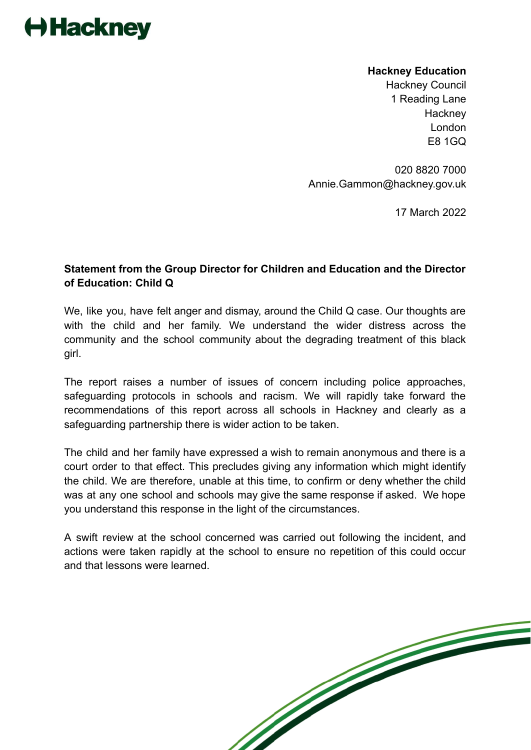## Hackney

**Hackney Education** Hackney Council 1 Reading Lane **Hackney** London E8 1GQ

020 8820 7000 Annie.Gammon@hackney.gov.uk

17 March 2022

## **Statement from the Group Director for Children and Education and the Director of Education: Child Q**

We, like you, have felt anger and dismay, around the Child Q case. Our thoughts are with the child and her family. We understand the wider distress across the community and the school community about the degrading treatment of this black girl.

The report raises a number of issues of concern including police approaches, safeguarding protocols in schools and racism. We will rapidly take forward the recommendations of this report across all schools in Hackney and clearly as a safeguarding partnership there is wider action to be taken.

The child and her family have expressed a wish to remain anonymous and there is a court order to that effect. This precludes giving any information which might identify the child. We are therefore, unable at this time, to confirm or deny whether the child was at any one school and schools may give the same response if asked. We hope you understand this response in the light of the circumstances.

A swift review at the school concerned was carried out following the incident, and actions were taken rapidly at the school to ensure no repetition of this could occur and that lessons were learned.